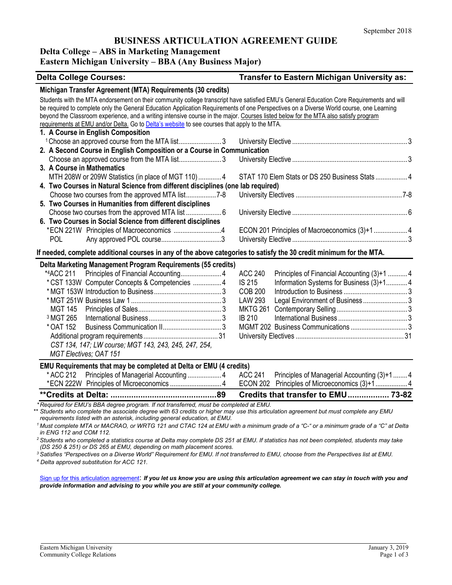# **BUSINESS ARTICULATION AGREEMENT GUIDE**

#### **Delta College – ABS in Marketing Management**

# **Eastern Michigan University – BBA (Any Business Major)**

| <b>Delta College Courses:</b>                                                                                                                                                                                                                                                                                                                                                                                                                                                                                                                                      | Transfer to Eastern Michigan University as:                   |  |  |  |  |
|--------------------------------------------------------------------------------------------------------------------------------------------------------------------------------------------------------------------------------------------------------------------------------------------------------------------------------------------------------------------------------------------------------------------------------------------------------------------------------------------------------------------------------------------------------------------|---------------------------------------------------------------|--|--|--|--|
| Michigan Transfer Agreement (MTA) Requirements (30 credits)                                                                                                                                                                                                                                                                                                                                                                                                                                                                                                        |                                                               |  |  |  |  |
| Students with the MTA endorsement on their community college transcript have satisfied EMU's General Education Core Requirements and will<br>be required to complete only the General Education Application Requirements of one Perspectives on a Diverse World course, one Learning<br>beyond the Classroom experience, and a writing intensive course in the major. Courses listed below for the MTA also satisfy program<br>requirements at EMU and/or Delta. Go to Delta's website to see courses that apply to the MTA.<br>1. A Course in English Composition |                                                               |  |  |  |  |
| <sup>1</sup> Choose an approved course from the MTA list3                                                                                                                                                                                                                                                                                                                                                                                                                                                                                                          |                                                               |  |  |  |  |
| 2. A Second Course in English Composition or a Course in Communication                                                                                                                                                                                                                                                                                                                                                                                                                                                                                             |                                                               |  |  |  |  |
|                                                                                                                                                                                                                                                                                                                                                                                                                                                                                                                                                                    |                                                               |  |  |  |  |
| 3. A Course in Mathematics                                                                                                                                                                                                                                                                                                                                                                                                                                                                                                                                         |                                                               |  |  |  |  |
| MTH 208W or 209W Statistics (in place of MGT 110) 4                                                                                                                                                                                                                                                                                                                                                                                                                                                                                                                | STAT 170 Elem Stats or DS 250 Business Stats  4               |  |  |  |  |
| 4. Two Courses in Natural Science from different disciplines (one lab required)                                                                                                                                                                                                                                                                                                                                                                                                                                                                                    |                                                               |  |  |  |  |
|                                                                                                                                                                                                                                                                                                                                                                                                                                                                                                                                                                    |                                                               |  |  |  |  |
| 5. Two Courses in Humanities from different disciplines                                                                                                                                                                                                                                                                                                                                                                                                                                                                                                            |                                                               |  |  |  |  |
|                                                                                                                                                                                                                                                                                                                                                                                                                                                                                                                                                                    |                                                               |  |  |  |  |
| 6. Two Courses in Social Science from different disciplines                                                                                                                                                                                                                                                                                                                                                                                                                                                                                                        |                                                               |  |  |  |  |
| *ECN 221W Principles of Macroeconomics 4                                                                                                                                                                                                                                                                                                                                                                                                                                                                                                                           | ECON 201 Principles of Macroeconomics (3)+1 4                 |  |  |  |  |
| POL                                                                                                                                                                                                                                                                                                                                                                                                                                                                                                                                                                |                                                               |  |  |  |  |
| If needed, complete additional courses in any of the above categories to satisfy the 30 credit minimum for the MTA.                                                                                                                                                                                                                                                                                                                                                                                                                                                |                                                               |  |  |  |  |
| Delta Marketing Management Program Requirements (55 credits)                                                                                                                                                                                                                                                                                                                                                                                                                                                                                                       |                                                               |  |  |  |  |
| *4ACC 211                                                                                                                                                                                                                                                                                                                                                                                                                                                                                                                                                          | <b>ACC 240</b><br>Principles of Financial Accounting (3)+1  4 |  |  |  |  |
| * CST 133W Computer Concepts & Competencies  4                                                                                                                                                                                                                                                                                                                                                                                                                                                                                                                     | IS 215<br>Information Systems for Business (3)+1 4            |  |  |  |  |
|                                                                                                                                                                                                                                                                                                                                                                                                                                                                                                                                                                    | <b>COB 200</b>                                                |  |  |  |  |
|                                                                                                                                                                                                                                                                                                                                                                                                                                                                                                                                                                    | <b>LAW 293</b><br>Legal Environment of Business3              |  |  |  |  |
| <b>MGT 145</b>                                                                                                                                                                                                                                                                                                                                                                                                                                                                                                                                                     | <b>MKTG 261</b>                                               |  |  |  |  |
| <sup>3</sup> MGT 265                                                                                                                                                                                                                                                                                                                                                                                                                                                                                                                                               | <b>IB 210</b>                                                 |  |  |  |  |
| * OAT 152                                                                                                                                                                                                                                                                                                                                                                                                                                                                                                                                                          |                                                               |  |  |  |  |
|                                                                                                                                                                                                                                                                                                                                                                                                                                                                                                                                                                    |                                                               |  |  |  |  |
| CST 134, 147; LW course; MGT 143, 243, 245, 247, 254,                                                                                                                                                                                                                                                                                                                                                                                                                                                                                                              |                                                               |  |  |  |  |
| <b>MGT Electives; OAT 151</b>                                                                                                                                                                                                                                                                                                                                                                                                                                                                                                                                      |                                                               |  |  |  |  |
| EMU Requirements that may be completed at Delta or EMU (4 credits)                                                                                                                                                                                                                                                                                                                                                                                                                                                                                                 |                                                               |  |  |  |  |
| * ACC 212 Principles of Managerial Accounting  4                                                                                                                                                                                                                                                                                                                                                                                                                                                                                                                   | Principles of Managerial Accounting (3)+1  4<br>ACC 241       |  |  |  |  |
| *ECN 222W Principles of Microeconomics 4                                                                                                                                                                                                                                                                                                                                                                                                                                                                                                                           |                                                               |  |  |  |  |
|                                                                                                                                                                                                                                                                                                                                                                                                                                                                                                                                                                    | Credits that transfer to EMU 73-82                            |  |  |  |  |
| *Required for EMU's BBA degree program. If not transferred, must be completed at EMU.<br>Students who complete the associate degree with 63 credits or higher may use this articulation agreement but must complete any EMU<br>requirements listed with an asterisk, including general education, at EMU.<br>$^1$ Must complete MTA or MACRAO, or WRTG 121 and CTAC 124 at FMI Lwith a minimum grade of a "C-" or a minimum grade of a "C" at Delta                                                                                                                |                                                               |  |  |  |  |

*1 Must complete MTA or MACRAO, or WRTG 121 and CTAC 124 at EMU with a minimum grade of a "C-" or a minimum grade of a "C" at Delta in ENG 112 and COM 112.*

*2 Students who completed a statistics course at Delta may complete DS 251 at EMU. If statistics has not been completed, students may take (DS 250 & 251) or DS 265 at EMU, depending on math placement scores.*

<sup>3</sup> Satisfies "Perspectives on a Diverse World" Requirement for EMU. If not transferred to EMU, choose from the Perspectives list at EMU. *<sup>4</sup> Delta approved substitution for ACC 121.* 

[Sign up for this articulation agreement](http://www.emich.edu/ccr/articulation-agreements/signup.php): If you let us know you are using this articulation agreement we can stay in touch with you and *provide information and advising to you while you are still at your community college.*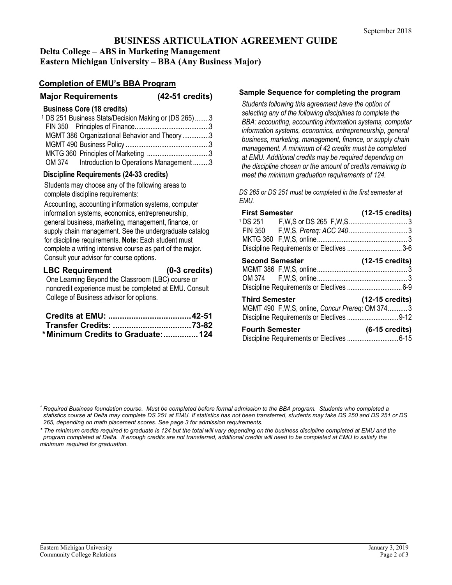# **BUSINESS ARTICULATION AGREEMENT GUIDE Delta College – ABS in Marketing Management**

**Eastern Michigan University – BBA (Any Business Major)**

## **Completion of EMU's BBA Program**

| <b>Major Requirements</b> | (42-51 credits) |
|---------------------------|-----------------|
|                           |                 |

#### **Business Core (18 credits)**

|  | <sup>1</sup> DS 251 Business Stats/Decision Making or (DS 265)3 |  |
|--|-----------------------------------------------------------------|--|
|  |                                                                 |  |
|  | MGMT 386 Organizational Behavior and Theory 3                   |  |
|  |                                                                 |  |
|  |                                                                 |  |
|  | OM 374 Introduction to Operations Management 3                  |  |

### **Discipline Requirements (24-33 credits)**

Students may choose any of the following areas to complete discipline requirements:

Accounting, accounting information systems, computer information systems, economics, entrepreneurship, general business, marketing, management, finance, or supply chain management. See the undergraduate catalog for discipline requirements. **Note:** Each student must complete a writing intensive course as part of the major. Consult your advisor for course options.

#### **LBC Requirement (0-3 credits)**

One Learning Beyond the Classroom (LBC) course or noncredit experience must be completed at EMU. Consult College of Business advisor for options.

| *Minimum Credits to Graduate: 124 |  |
|-----------------------------------|--|

#### **Sample Sequence for completing the program**

*Students following this agreement have the option of selecting any of the following disciplines to complete the BBA: accounting, accounting information systems, computer information systems, economics, entrepreneurship, general business, marketing, management, finance, or supply chain management. A minimum of 42 credits must be completed at EMU. Additional credits may be required depending on the discipline chosen or the amount of credits remaining to meet the minimum graduation requirements of 124.* 

*DS 265 or DS 251 must be completed in the first semester at EMU.*

| <b>First Semester</b>                                                                                                | $(12-15 \text{ credits})$ |
|----------------------------------------------------------------------------------------------------------------------|---------------------------|
|                                                                                                                      |                           |
|                                                                                                                      |                           |
|                                                                                                                      |                           |
| Discipline Requirements or Electives 3-6                                                                             |                           |
| <b>Second Semester</b>                                                                                               | $(12-15 \text{ credits})$ |
|                                                                                                                      |                           |
|                                                                                                                      |                           |
| <b>Third Semester</b><br>MGMT 490 F,W,S, online, Concur Prereq: OM 3743<br>Discipline Requirements or Electives 9-12 | $(12-15 \text{ credits})$ |
| <b>Fourth Semester</b>                                                                                               | $(6-15 \text{ credits})$  |

*\* The minimum credits required to graduate is 124 but the total will vary depending on the business discipline completed at EMU and the program completed at Delta. If enough credits are not transferred, additional credits will need to be completed at EMU to satisfy the minimum required for graduation.* 

*<sup>1</sup> Required Business foundation course. Must be completed before formal admission to the BBA program. Students who completed a statistics course at Delta may complete DS 251 at EMU. If statistics has not been transferred, students may take DS 250 and DS 251 or DS 265, depending on math placement scores. See page 3 for admission requirements.*